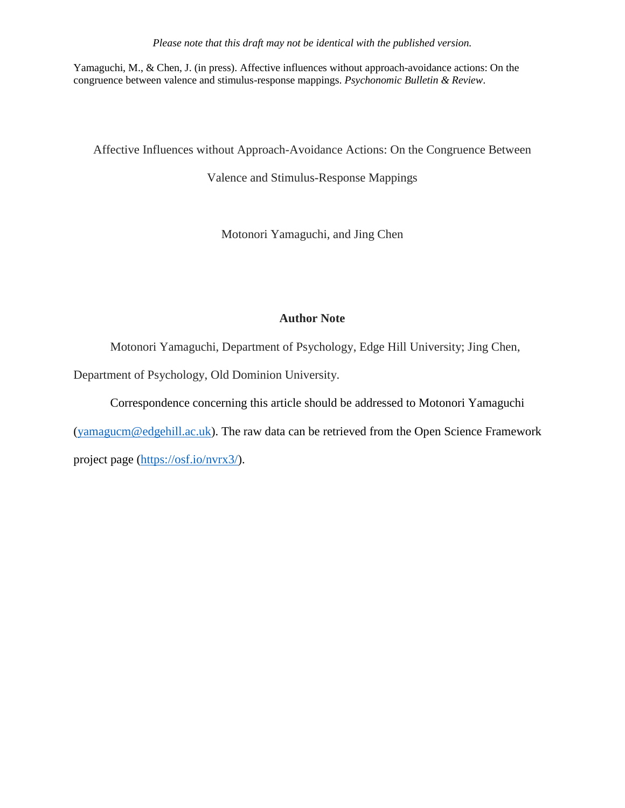Yamaguchi, M., & Chen, J. (in press). Affective influences without approach-avoidance actions: On the congruence between valence and stimulus-response mappings. *Psychonomic Bulletin & Review*.

Affective Influences without Approach-Avoidance Actions: On the Congruence Between

Valence and Stimulus-Response Mappings

Motonori Yamaguchi, and Jing Chen

# **Author Note**

Motonori Yamaguchi, Department of Psychology, Edge Hill University; Jing Chen,

Department of Psychology, Old Dominion University.

Correspondence concerning this article should be addressed to Motonori Yamaguchi

 $(yamagucm@edgehill.ac.uk)$ . The raw data can be retrieved from the Open Science Framework

project page [\(https://osf.io/nvrx3/\)](https://osf.io/nvrx3/).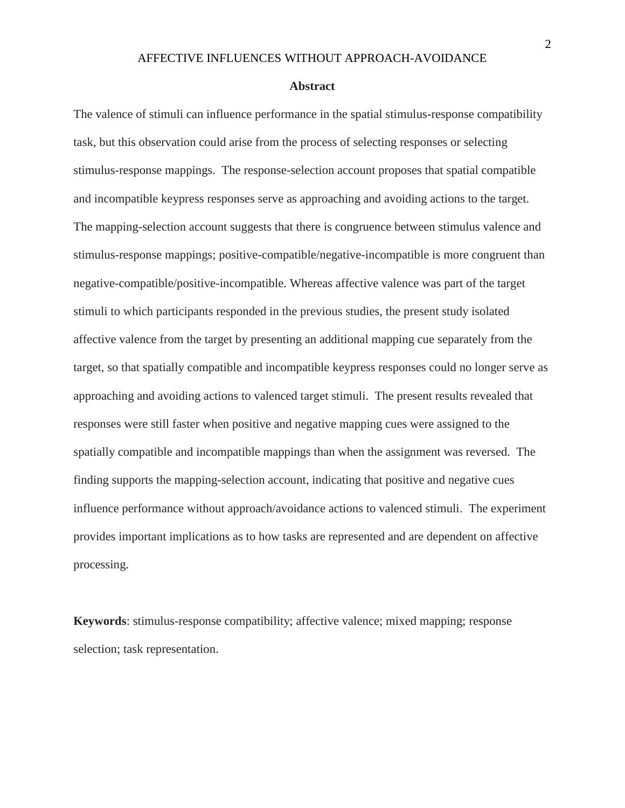#### **Abstract**

The valence of stimuli can influence performance in the spatial stimulus-response compatibility task, but this observation could arise from the process of selecting responses or selecting stimulus-response mappings. The response-selection account proposes that spatial compatible and incompatible keypress responses serve as approaching and avoiding actions to the target. The mapping-selection account suggests that there is congruence between stimulus valence and stimulus-response mappings; positive-compatible/negative-incompatible is more congruent than negative-compatible/positive-incompatible. Whereas affective valence was part of the target stimuli to which participants responded in the previous studies, the present study isolated affective valence from the target by presenting an additional mapping cue separately from the target, so that spatially compatible and incompatible keypress responses could no longer serve as approaching and avoiding actions to valenced target stimuli. The present results revealed that responses were still faster when positive and negative mapping cues were assigned to the spatially compatible and incompatible mappings than when the assignment was reversed. The finding supports the mapping-selection account, indicating that positive and negative cues influence performance without approach/avoidance actions to valenced stimuli. The experiment provides important implications as to how tasks are represented and are dependent on affective processing.

**Keywords**: stimulus-response compatibility; affective valence; mixed mapping; response selection; task representation.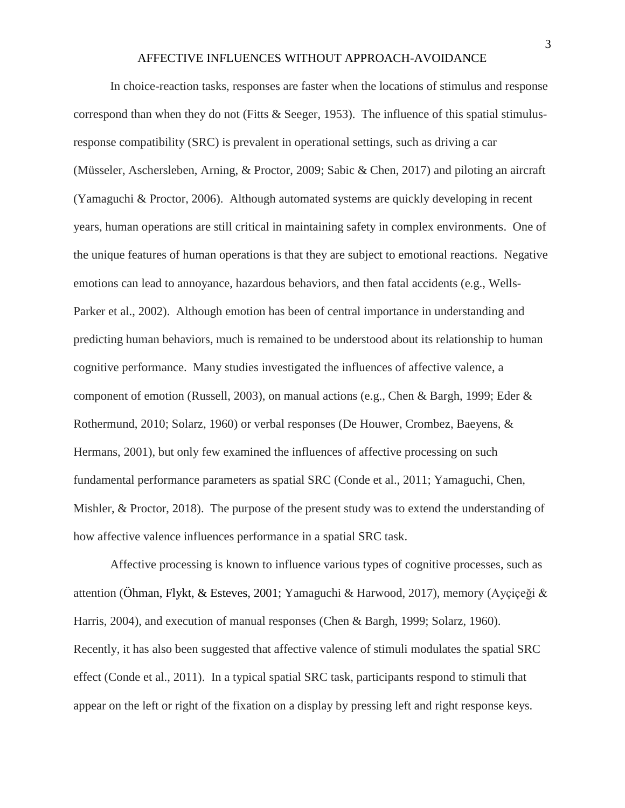In choice-reaction tasks, responses are faster when the locations of stimulus and response correspond than when they do not (Fitts & Seeger, 1953). The influence of this spatial stimulusresponse compatibility (SRC) is prevalent in operational settings, such as driving a car (Müsseler, Aschersleben, Arning, & Proctor, 2009; Sabic & Chen, 2017) and piloting an aircraft (Yamaguchi & Proctor, 2006). Although automated systems are quickly developing in recent years, human operations are still critical in maintaining safety in complex environments. One of the unique features of human operations is that they are subject to emotional reactions. Negative emotions can lead to annoyance, hazardous behaviors, and then fatal accidents (e.g., Wells-Parker et al., 2002). Although emotion has been of central importance in understanding and predicting human behaviors, much is remained to be understood about its relationship to human cognitive performance. Many studies investigated the influences of affective valence, a component of emotion (Russell, 2003), on manual actions (e.g., Chen & Bargh, 1999; Eder & Rothermund, 2010; Solarz, 1960) or verbal responses (De Houwer, Crombez, Baeyens, & Hermans, 2001), but only few examined the influences of affective processing on such fundamental performance parameters as spatial SRC (Conde et al., 2011; Yamaguchi, Chen, Mishler, & Proctor, 2018). The purpose of the present study was to extend the understanding of how affective valence influences performance in a spatial SRC task.

Affective processing is known to influence various types of cognitive processes, such as attention (Öhman, Flykt, & Esteves, 2001; Yamaguchi & Harwood, 2017), memory (Ayçiçeği & Harris, 2004), and execution of manual responses (Chen & Bargh, 1999; Solarz, 1960). Recently, it has also been suggested that affective valence of stimuli modulates the spatial SRC effect (Conde et al., 2011). In a typical spatial SRC task, participants respond to stimuli that appear on the left or right of the fixation on a display by pressing left and right response keys.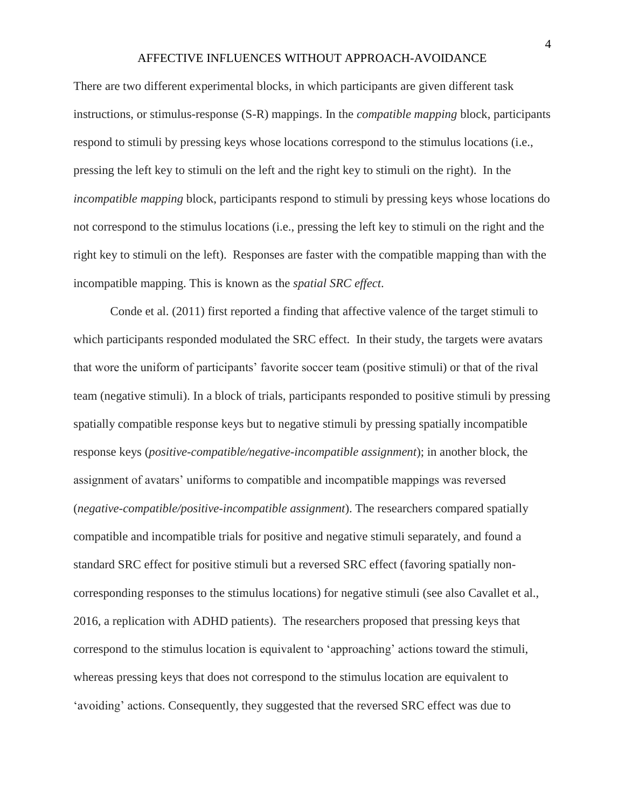There are two different experimental blocks, in which participants are given different task instructions, or stimulus-response (S-R) mappings. In the *compatible mapping* block, participants respond to stimuli by pressing keys whose locations correspond to the stimulus locations (i.e., pressing the left key to stimuli on the left and the right key to stimuli on the right). In the *incompatible mapping* block, participants respond to stimuli by pressing keys whose locations do not correspond to the stimulus locations (i.e., pressing the left key to stimuli on the right and the right key to stimuli on the left). Responses are faster with the compatible mapping than with the incompatible mapping. This is known as the *spatial SRC effect*.

Conde et al. (2011) first reported a finding that affective valence of the target stimuli to which participants responded modulated the SRC effect. In their study, the targets were avatars that wore the uniform of participants' favorite soccer team (positive stimuli) or that of the rival team (negative stimuli). In a block of trials, participants responded to positive stimuli by pressing spatially compatible response keys but to negative stimuli by pressing spatially incompatible response keys (*positive-compatible/negative-incompatible assignment*); in another block, the assignment of avatars' uniforms to compatible and incompatible mappings was reversed (*negative-compatible/positive-incompatible assignment*). The researchers compared spatially compatible and incompatible trials for positive and negative stimuli separately, and found a standard SRC effect for positive stimuli but a reversed SRC effect (favoring spatially noncorresponding responses to the stimulus locations) for negative stimuli (see also Cavallet et al., 2016, a replication with ADHD patients). The researchers proposed that pressing keys that correspond to the stimulus location is equivalent to 'approaching' actions toward the stimuli, whereas pressing keys that does not correspond to the stimulus location are equivalent to 'avoiding' actions. Consequently, they suggested that the reversed SRC effect was due to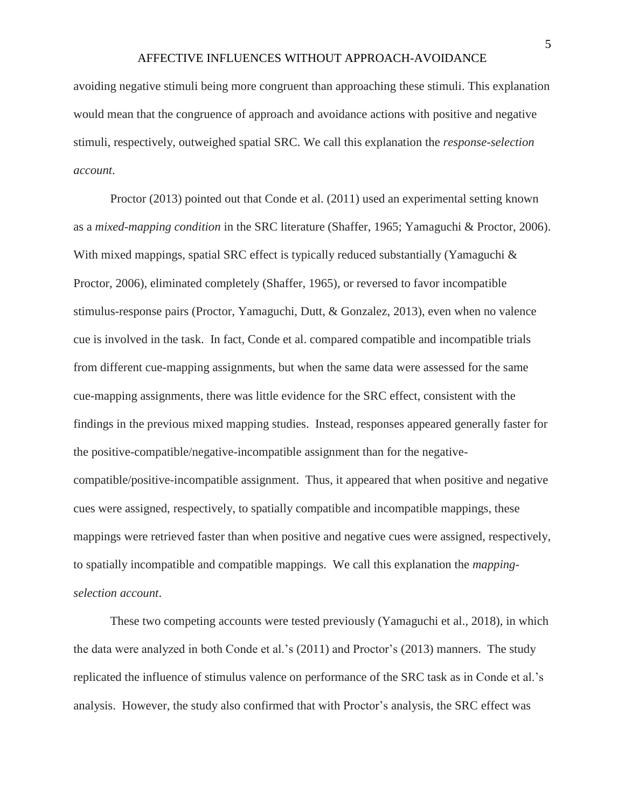avoiding negative stimuli being more congruent than approaching these stimuli. This explanation would mean that the congruence of approach and avoidance actions with positive and negative stimuli, respectively, outweighed spatial SRC. We call this explanation the *response-selection account*.

Proctor (2013) pointed out that Conde et al. (2011) used an experimental setting known as a *mixed-mapping condition* in the SRC literature (Shaffer, 1965; Yamaguchi & Proctor, 2006). With mixed mappings, spatial SRC effect is typically reduced substantially (Yamaguchi & Proctor, 2006), eliminated completely (Shaffer, 1965), or reversed to favor incompatible stimulus-response pairs (Proctor, Yamaguchi, Dutt, & Gonzalez, 2013), even when no valence cue is involved in the task. In fact, Conde et al. compared compatible and incompatible trials from different cue-mapping assignments, but when the same data were assessed for the same cue-mapping assignments, there was little evidence for the SRC effect, consistent with the findings in the previous mixed mapping studies. Instead, responses appeared generally faster for the positive-compatible/negative-incompatible assignment than for the negativecompatible/positive-incompatible assignment. Thus, it appeared that when positive and negative cues were assigned, respectively, to spatially compatible and incompatible mappings, these mappings were retrieved faster than when positive and negative cues were assigned, respectively, to spatially incompatible and compatible mappings. We call this explanation the *mappingselection account*.

These two competing accounts were tested previously (Yamaguchi et al., 2018), in which the data were analyzed in both Conde et al.'s (2011) and Proctor's (2013) manners. The study replicated the influence of stimulus valence on performance of the SRC task as in Conde et al.'s analysis. However, the study also confirmed that with Proctor's analysis, the SRC effect was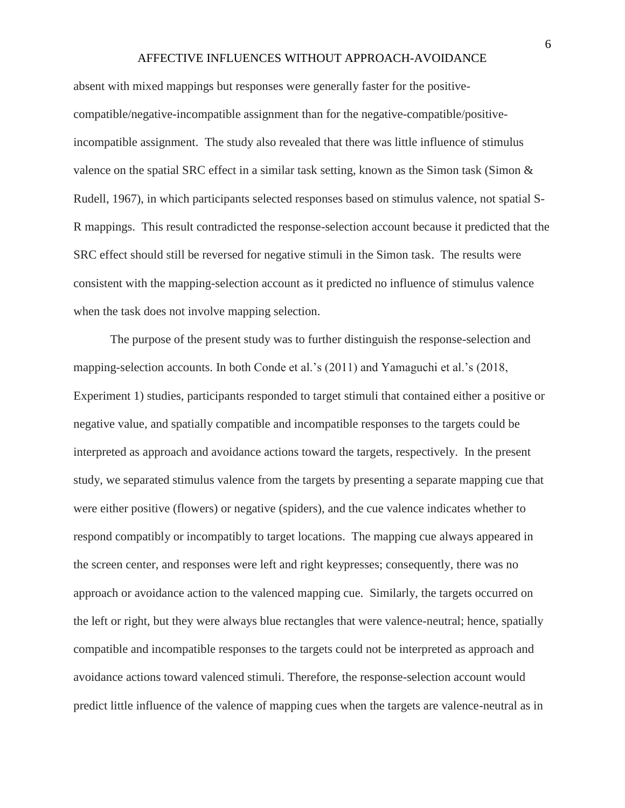absent with mixed mappings but responses were generally faster for the positivecompatible/negative-incompatible assignment than for the negative-compatible/positiveincompatible assignment. The study also revealed that there was little influence of stimulus valence on the spatial SRC effect in a similar task setting, known as the Simon task (Simon  $\&$ Rudell, 1967), in which participants selected responses based on stimulus valence, not spatial S-R mappings. This result contradicted the response-selection account because it predicted that the SRC effect should still be reversed for negative stimuli in the Simon task. The results were consistent with the mapping-selection account as it predicted no influence of stimulus valence when the task does not involve mapping selection.

The purpose of the present study was to further distinguish the response-selection and mapping-selection accounts. In both Conde et al.'s (2011) and Yamaguchi et al.'s (2018, Experiment 1) studies, participants responded to target stimuli that contained either a positive or negative value, and spatially compatible and incompatible responses to the targets could be interpreted as approach and avoidance actions toward the targets, respectively. In the present study, we separated stimulus valence from the targets by presenting a separate mapping cue that were either positive (flowers) or negative (spiders), and the cue valence indicates whether to respond compatibly or incompatibly to target locations. The mapping cue always appeared in the screen center, and responses were left and right keypresses; consequently, there was no approach or avoidance action to the valenced mapping cue. Similarly, the targets occurred on the left or right, but they were always blue rectangles that were valence-neutral; hence, spatially compatible and incompatible responses to the targets could not be interpreted as approach and avoidance actions toward valenced stimuli. Therefore, the response-selection account would predict little influence of the valence of mapping cues when the targets are valence-neutral as in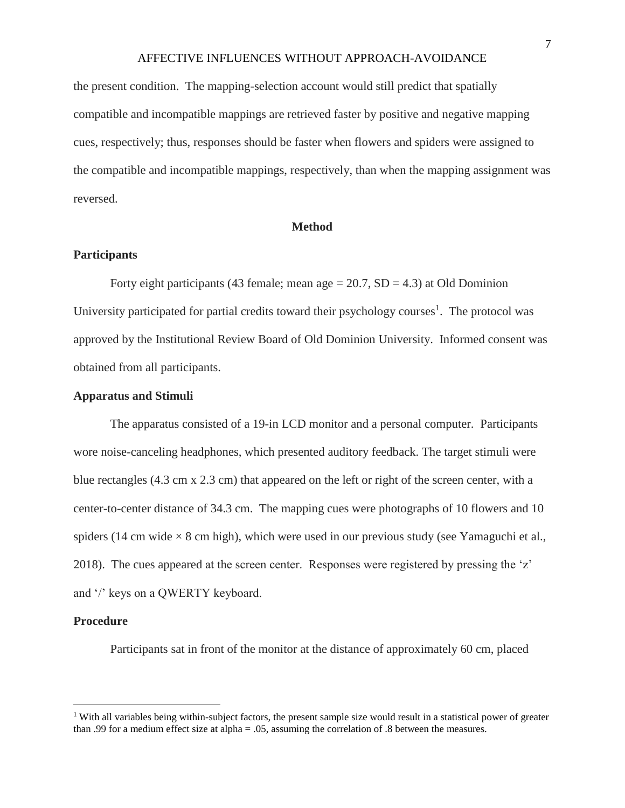the present condition. The mapping-selection account would still predict that spatially compatible and incompatible mappings are retrieved faster by positive and negative mapping cues, respectively; thus, responses should be faster when flowers and spiders were assigned to the compatible and incompatible mappings, respectively, than when the mapping assignment was reversed.

#### **Method**

#### **Participants**

Forty eight participants (43 female; mean age  $= 20.7$ ,  $SD = 4.3$ ) at Old Dominion University participated for partial credits toward their psychology courses<sup>1</sup>. The protocol was approved by the Institutional Review Board of Old Dominion University. Informed consent was obtained from all participants.

#### **Apparatus and Stimuli**

The apparatus consisted of a 19-in LCD monitor and a personal computer. Participants wore noise-canceling headphones, which presented auditory feedback. The target stimuli were blue rectangles (4.3 cm x 2.3 cm) that appeared on the left or right of the screen center, with a center-to-center distance of 34.3 cm. The mapping cues were photographs of 10 flowers and 10 spiders (14 cm wide  $\times$  8 cm high), which were used in our previous study (see Yamaguchi et al., 2018). The cues appeared at the screen center. Responses were registered by pressing the 'z' and '/' keys on a QWERTY keyboard.

#### **Procedure**

l

Participants sat in front of the monitor at the distance of approximately 60 cm, placed

<sup>1</sup> With all variables being within-subject factors, the present sample size would result in a statistical power of greater than .99 for a medium effect size at alpha = .05, assuming the correlation of .8 between the measures.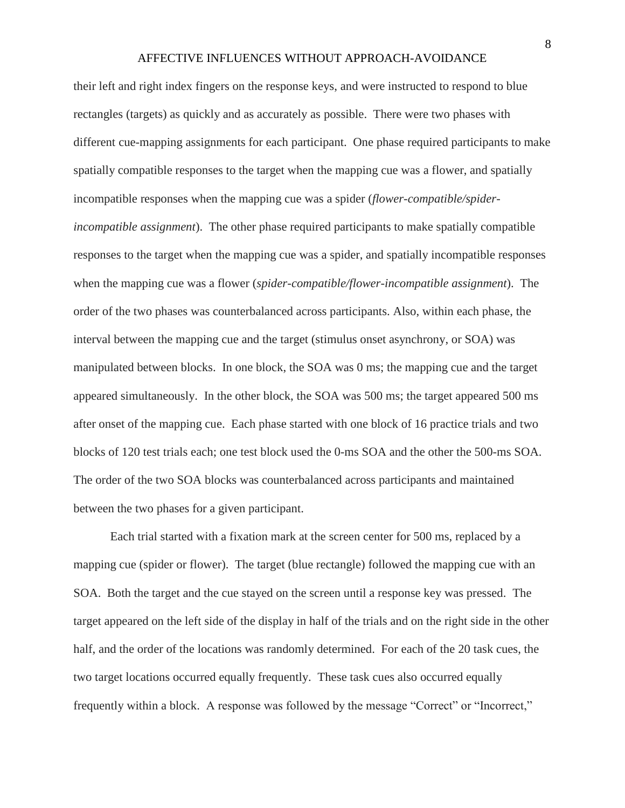their left and right index fingers on the response keys, and were instructed to respond to blue rectangles (targets) as quickly and as accurately as possible. There were two phases with different cue-mapping assignments for each participant. One phase required participants to make spatially compatible responses to the target when the mapping cue was a flower, and spatially incompatible responses when the mapping cue was a spider (*flower-compatible/spiderincompatible assignment*). The other phase required participants to make spatially compatible responses to the target when the mapping cue was a spider, and spatially incompatible responses when the mapping cue was a flower (*spider-compatible/flower-incompatible assignment*). The order of the two phases was counterbalanced across participants. Also, within each phase, the interval between the mapping cue and the target (stimulus onset asynchrony, or SOA) was manipulated between blocks. In one block, the SOA was 0 ms; the mapping cue and the target appeared simultaneously. In the other block, the SOA was 500 ms; the target appeared 500 ms after onset of the mapping cue. Each phase started with one block of 16 practice trials and two blocks of 120 test trials each; one test block used the 0-ms SOA and the other the 500-ms SOA. The order of the two SOA blocks was counterbalanced across participants and maintained between the two phases for a given participant.

Each trial started with a fixation mark at the screen center for 500 ms, replaced by a mapping cue (spider or flower). The target (blue rectangle) followed the mapping cue with an SOA. Both the target and the cue stayed on the screen until a response key was pressed. The target appeared on the left side of the display in half of the trials and on the right side in the other half, and the order of the locations was randomly determined. For each of the 20 task cues, the two target locations occurred equally frequently. These task cues also occurred equally frequently within a block. A response was followed by the message "Correct" or "Incorrect,"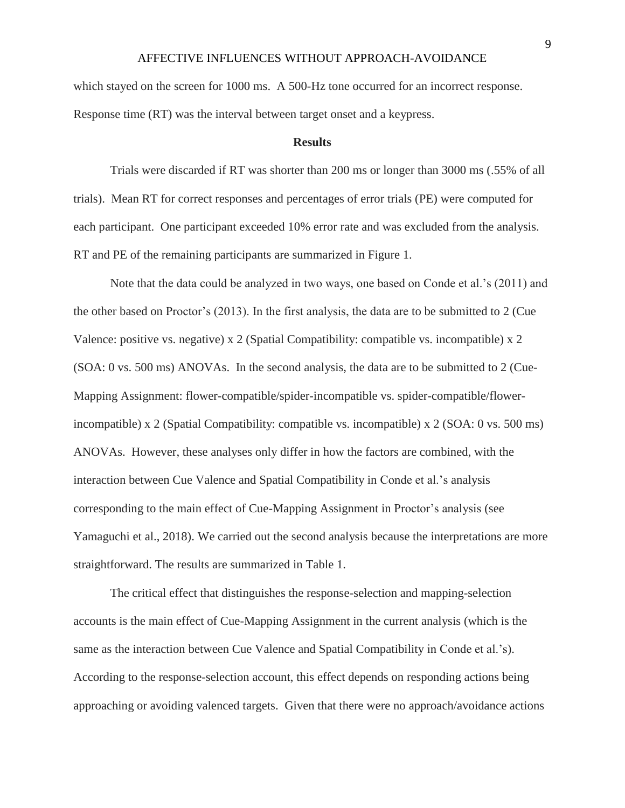which stayed on the screen for 1000 ms. A 500-Hz tone occurred for an incorrect response. Response time (RT) was the interval between target onset and a keypress.

#### **Results**

Trials were discarded if RT was shorter than 200 ms or longer than 3000 ms (.55% of all trials). Mean RT for correct responses and percentages of error trials (PE) were computed for each participant. One participant exceeded 10% error rate and was excluded from the analysis. RT and PE of the remaining participants are summarized in Figure 1.

Note that the data could be analyzed in two ways, one based on Conde et al.'s (2011) and the other based on Proctor's (2013). In the first analysis, the data are to be submitted to 2 (Cue Valence: positive vs. negative) x 2 (Spatial Compatibility: compatible vs. incompatible) x 2 (SOA: 0 vs. 500 ms) ANOVAs. In the second analysis, the data are to be submitted to 2 (Cue-Mapping Assignment: flower-compatible/spider-incompatible vs. spider-compatible/flowerincompatible) x 2 (Spatial Compatibility: compatible vs. incompatible) x 2 (SOA: 0 vs. 500 ms) ANOVAs. However, these analyses only differ in how the factors are combined, with the interaction between Cue Valence and Spatial Compatibility in Conde et al.'s analysis corresponding to the main effect of Cue-Mapping Assignment in Proctor's analysis (see Yamaguchi et al., 2018). We carried out the second analysis because the interpretations are more straightforward. The results are summarized in Table 1.

The critical effect that distinguishes the response-selection and mapping-selection accounts is the main effect of Cue-Mapping Assignment in the current analysis (which is the same as the interaction between Cue Valence and Spatial Compatibility in Conde et al.'s). According to the response-selection account, this effect depends on responding actions being approaching or avoiding valenced targets. Given that there were no approach/avoidance actions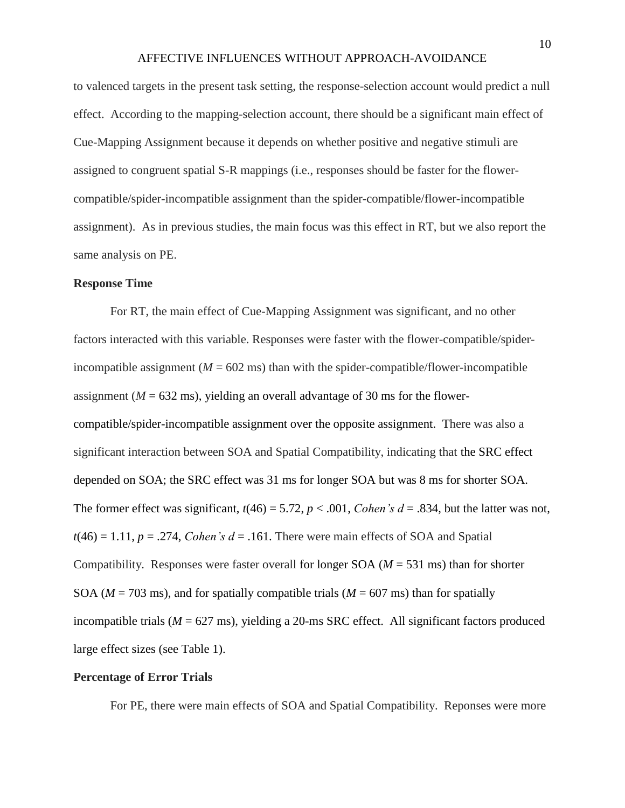to valenced targets in the present task setting, the response-selection account would predict a null effect. According to the mapping-selection account, there should be a significant main effect of Cue-Mapping Assignment because it depends on whether positive and negative stimuli are assigned to congruent spatial S-R mappings (i.e., responses should be faster for the flowercompatible/spider-incompatible assignment than the spider-compatible/flower-incompatible assignment). As in previous studies, the main focus was this effect in RT, but we also report the same analysis on PE.

#### **Response Time**

For RT, the main effect of Cue-Mapping Assignment was significant, and no other factors interacted with this variable. Responses were faster with the flower-compatible/spiderincompatible assignment  $(M = 602 \text{ ms})$  than with the spider-compatible/flower-incompatible assignment ( $M = 632$  ms), yielding an overall advantage of 30 ms for the flowercompatible/spider-incompatible assignment over the opposite assignment. There was also a significant interaction between SOA and Spatial Compatibility, indicating that the SRC effect depended on SOA; the SRC effect was 31 ms for longer SOA but was 8 ms for shorter SOA. The former effect was significant,  $t(46) = 5.72$ ,  $p < .001$ , *Cohen's d* = .834, but the latter was not,  $t(46) = 1.11$ ,  $p = .274$ , *Cohen's d* = .161. There were main effects of SOA and Spatial Compatibility. Responses were faster overall for longer SOA (*M* = 531 ms) than for shorter SOA ( $M = 703$  ms), and for spatially compatible trials ( $M = 607$  ms) than for spatially incompatible trials  $(M = 627 \text{ ms})$ , yielding a 20-ms SRC effect. All significant factors produced large effect sizes (see Table 1).

#### **Percentage of Error Trials**

For PE, there were main effects of SOA and Spatial Compatibility. Reponses were more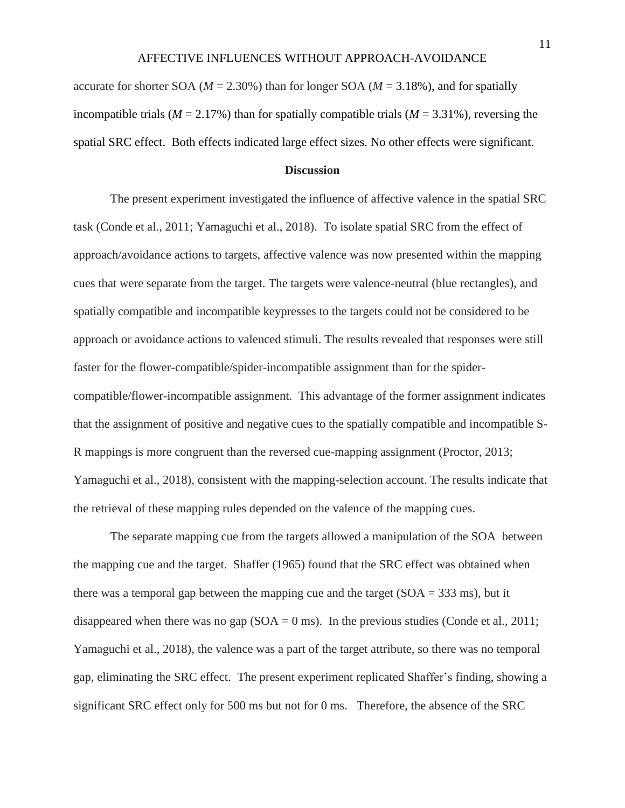accurate for shorter SOA ( $M = 2.30\%$ ) than for longer SOA ( $M = 3.18\%$ ), and for spatially incompatible trials ( $M = 2.17\%$ ) than for spatially compatible trials ( $M = 3.31\%$ ), reversing the spatial SRC effect. Both effects indicated large effect sizes. No other effects were significant.

### **Discussion**

The present experiment investigated the influence of affective valence in the spatial SRC task (Conde et al., 2011; Yamaguchi et al., 2018). To isolate spatial SRC from the effect of approach/avoidance actions to targets, affective valence was now presented within the mapping cues that were separate from the target. The targets were valence-neutral (blue rectangles), and spatially compatible and incompatible keypresses to the targets could not be considered to be approach or avoidance actions to valenced stimuli. The results revealed that responses were still faster for the flower-compatible/spider-incompatible assignment than for the spidercompatible/flower-incompatible assignment. This advantage of the former assignment indicates that the assignment of positive and negative cues to the spatially compatible and incompatible S-R mappings is more congruent than the reversed cue-mapping assignment (Proctor, 2013; Yamaguchi et al., 2018), consistent with the mapping-selection account. The results indicate that the retrieval of these mapping rules depended on the valence of the mapping cues.

The separate mapping cue from the targets allowed a manipulation of the SOA between the mapping cue and the target. Shaffer (1965) found that the SRC effect was obtained when there was a temporal gap between the mapping cue and the target  $(SOA = 333 \text{ ms})$ , but it disappeared when there was no gap  $(SOA = 0 \text{ ms})$ . In the previous studies (Conde et al., 2011; Yamaguchi et al., 2018), the valence was a part of the target attribute, so there was no temporal gap, eliminating the SRC effect. The present experiment replicated Shaffer's finding, showing a significant SRC effect only for 500 ms but not for 0 ms. Therefore, the absence of the SRC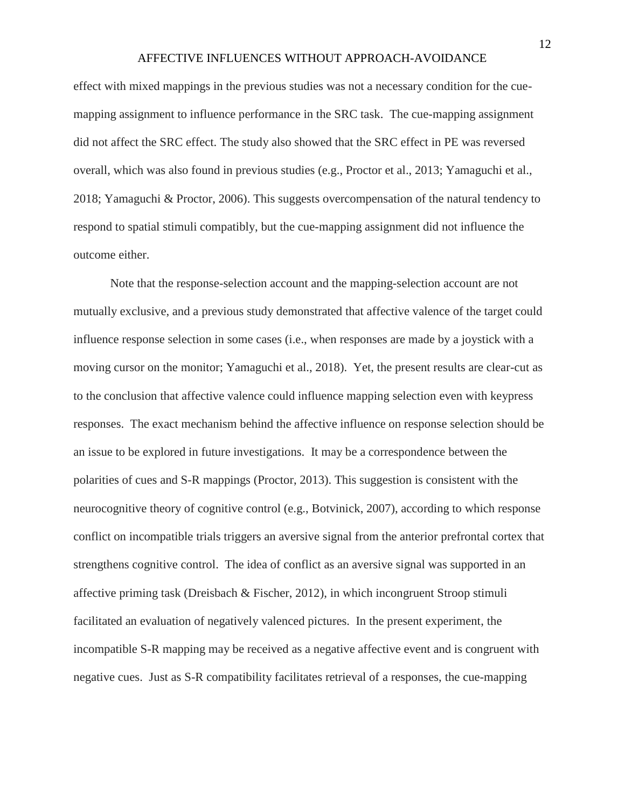effect with mixed mappings in the previous studies was not a necessary condition for the cuemapping assignment to influence performance in the SRC task. The cue-mapping assignment did not affect the SRC effect. The study also showed that the SRC effect in PE was reversed overall, which was also found in previous studies (e.g., Proctor et al., 2013; Yamaguchi et al., 2018; Yamaguchi & Proctor, 2006). This suggests overcompensation of the natural tendency to respond to spatial stimuli compatibly, but the cue-mapping assignment did not influence the outcome either.

Note that the response-selection account and the mapping-selection account are not mutually exclusive, and a previous study demonstrated that affective valence of the target could influence response selection in some cases (i.e., when responses are made by a joystick with a moving cursor on the monitor; Yamaguchi et al., 2018). Yet, the present results are clear-cut as to the conclusion that affective valence could influence mapping selection even with keypress responses. The exact mechanism behind the affective influence on response selection should be an issue to be explored in future investigations. It may be a correspondence between the polarities of cues and S-R mappings (Proctor, 2013). This suggestion is consistent with the neurocognitive theory of cognitive control (e.g., Botvinick, 2007), according to which response conflict on incompatible trials triggers an aversive signal from the anterior prefrontal cortex that strengthens cognitive control. The idea of conflict as an aversive signal was supported in an affective priming task (Dreisbach & Fischer, 2012), in which incongruent Stroop stimuli facilitated an evaluation of negatively valenced pictures. In the present experiment, the incompatible S-R mapping may be received as a negative affective event and is congruent with negative cues. Just as S-R compatibility facilitates retrieval of a responses, the cue-mapping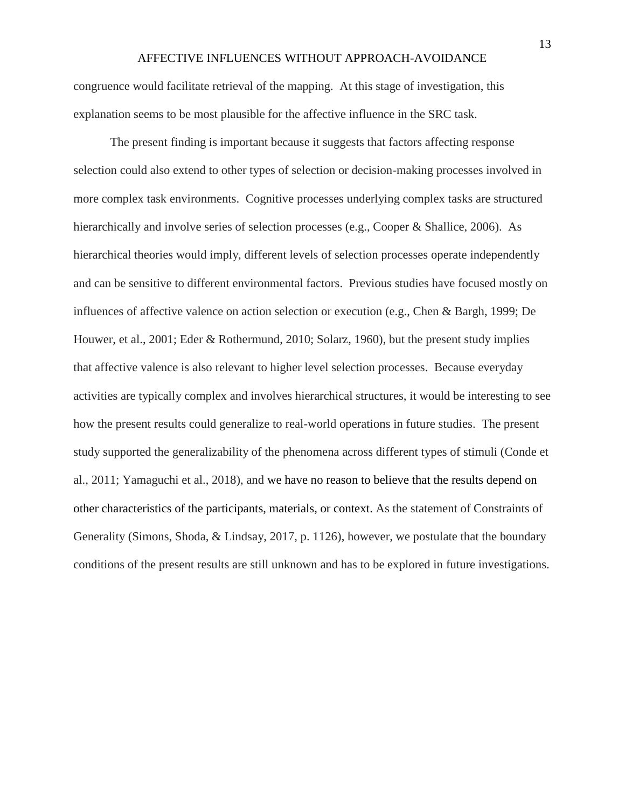congruence would facilitate retrieval of the mapping. At this stage of investigation, this explanation seems to be most plausible for the affective influence in the SRC task.

The present finding is important because it suggests that factors affecting response selection could also extend to other types of selection or decision-making processes involved in more complex task environments. Cognitive processes underlying complex tasks are structured hierarchically and involve series of selection processes (e.g., Cooper & Shallice, 2006). As hierarchical theories would imply, different levels of selection processes operate independently and can be sensitive to different environmental factors. Previous studies have focused mostly on influences of affective valence on action selection or execution (e.g., Chen & Bargh, 1999; De Houwer, et al., 2001; Eder & Rothermund, 2010; Solarz, 1960), but the present study implies that affective valence is also relevant to higher level selection processes. Because everyday activities are typically complex and involves hierarchical structures, it would be interesting to see how the present results could generalize to real-world operations in future studies. The present study supported the generalizability of the phenomena across different types of stimuli (Conde et al., 2011; Yamaguchi et al., 2018), and we have no reason to believe that the results depend on other characteristics of the participants, materials, or context. As the statement of Constraints of Generality (Simons, Shoda, & Lindsay, 2017, p. 1126), however, we postulate that the boundary conditions of the present results are still unknown and has to be explored in future investigations.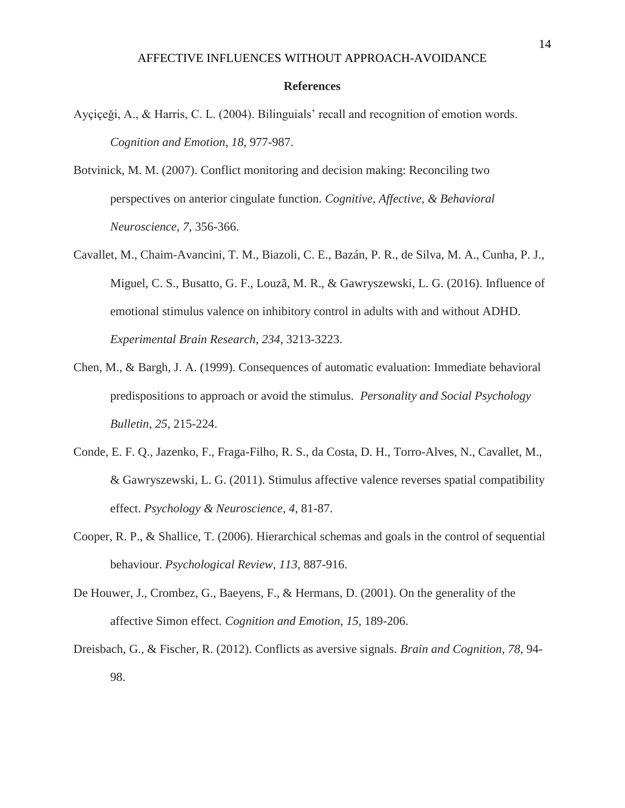#### **References**

- Ayçiçeǧi, A., & Harris, C. L. (2004). Bilinguials' recall and recognition of emotion words. *Cognition and Emotion*, *18*, 977-987.
- Botvinick, M. M. (2007). Conflict monitoring and decision making: Reconciling two perspectives on anterior cingulate function. *Cognitive, Affective, & Behavioral Neuroscience*, *7*, 356-366.
- Cavallet, M., Chaim-Avancini, T. M., Biazoli, C. E., Bazán, P. R., de Silva, M. A., Cunha, P. J., Miguel, C. S., Busatto, G. F., Louzã, M. R., & Gawryszewski, L. G. (2016). Influence of emotional stimulus valence on inhibitory control in adults with and without ADHD. *Experimental Brain Research*, *234*, 3213-3223.
- Chen, M., & Bargh, J. A. (1999). Consequences of automatic evaluation: Immediate behavioral predispositions to approach or avoid the stimulus. *Personality and Social Psychology Bulletin*, *25*, 215-224.
- Conde, E. F. Q., Jazenko, F., Fraga-Filho, R. S., da Costa, D. H., Torro-Alves, N., Cavallet, M., & Gawryszewski, L. G. (2011). Stimulus affective valence reverses spatial compatibility effect. *Psychology & Neuroscience*, *4*, 81-87.
- Cooper, R. P., & Shallice, T. (2006). Hierarchical schemas and goals in the control of sequential behaviour. *Psychological Review*, *113*, 887-916.
- De Houwer, J., Crombez, G., Baeyens, F., & Hermans, D. (2001). On the generality of the affective Simon effect. *Cognition and Emotion*, *15*, 189-206.
- Dreisbach, G., & Fischer, R. (2012). Conflicts as aversive signals. *Brain and Cognition*, *78*, 94- 98.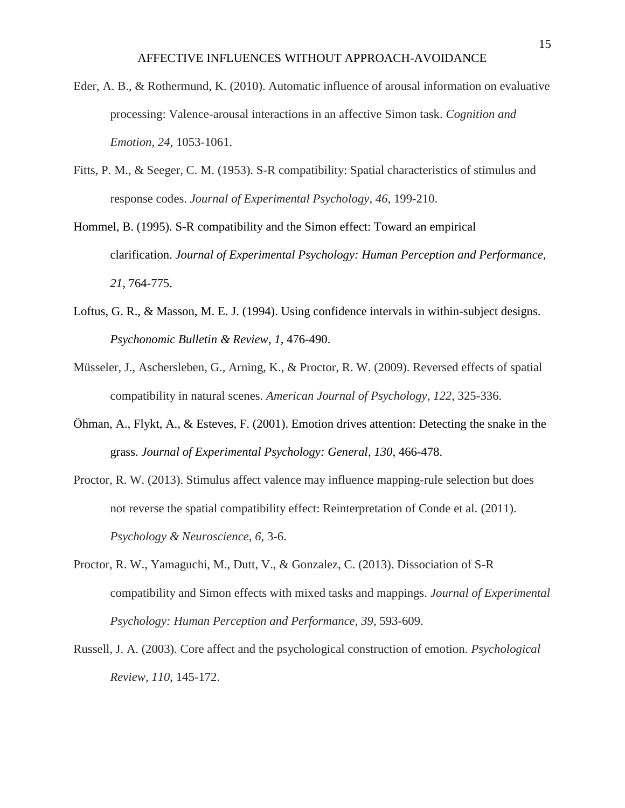- Eder, A. B., & Rothermund, K. (2010). Automatic influence of arousal information on evaluative processing: Valence-arousal interactions in an affective Simon task. *Cognition and Emotion*, *24*, 1053-1061.
- Fitts, P. M., & Seeger, C. M. (1953). S-R compatibility: Spatial characteristics of stimulus and response codes. *Journal of Experimental Psychology*, *46*, 199-210.
- Hommel, B. (1995). S-R compatibility and the Simon effect: Toward an empirical clarification. *Journal of Experimental Psychology: Human Perception and Performance, 21*, 764-775.
- Loftus, G. R., & Masson, M. E. J. (1994). Using confidence intervals in within-subject designs. *Psychonomic Bulletin & Review*, *1*, 476-490.
- Müsseler, J., Aschersleben, G., Arning, K., & Proctor, R. W. (2009). Reversed effects of spatial compatibility in natural scenes. *American Journal of Psychology*, *122*, 325-336.
- Öhman, A., Flykt, A., & Esteves, F. (2001). Emotion drives attention: Detecting the snake in the grass. *Journal of Experimental Psychology: General*, *130*, 466-478.
- Proctor, R. W. (2013). Stimulus affect valence may influence mapping-rule selection but does not reverse the spatial compatibility effect: Reinterpretation of Conde et al. (2011). *Psychology & Neuroscience*, *6*, 3-6.
- Proctor, R. W., Yamaguchi, M., Dutt, V., & Gonzalez, C. (2013). Dissociation of S-R compatibility and Simon effects with mixed tasks and mappings. *Journal of Experimental Psychology: Human Perception and Performance, 39*, 593-609.
- Russell, J. A. (2003). Core affect and the psychological construction of emotion. *Psychological Review*, *110*, 145-172.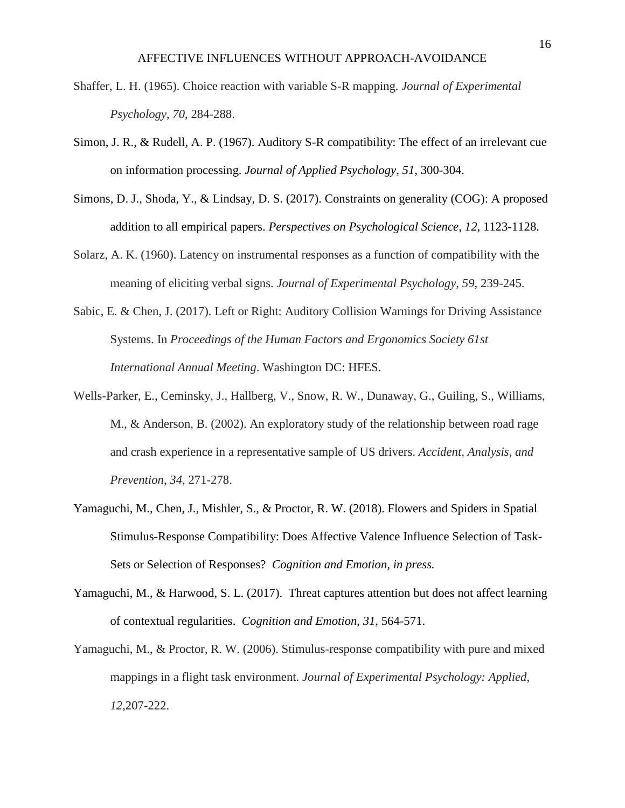- Shaffer, L. H. (1965). Choice reaction with variable S-R mapping. *Journal of Experimental Psychology*, *70*, 284-288.
- Simon, J. R., & Rudell, A. P. (1967). Auditory S-R compatibility: The effect of an irrelevant cue on information processing. *Journal of Applied Psychology*, *51*, 300-304.
- Simons, D. J., Shoda, Y., & Lindsay, D. S. (2017). Constraints on generality (COG): A proposed addition to all empirical papers. *Perspectives on Psychological Science*, *12*, 1123-1128.
- Solarz, A. K. (1960). Latency on instrumental responses as a function of compatibility with the meaning of eliciting verbal signs. *Journal of Experimental Psychology*, *59*, 239-245.
- Sabic, E. & Chen, J. (2017). Left or Right: Auditory Collision Warnings for Driving Assistance Systems. In *Proceedings of the Human Factors and Ergonomics Society 61st International Annual Meeting*. Washington DC: HFES.
- Wells-Parker, E., Ceminsky, J., Hallberg, V., Snow, R. W., Dunaway, G., Guiling, S., Williams, M., & Anderson, B. (2002). An exploratory study of the relationship between road rage and crash experience in a representative sample of US drivers. *Accident, Analysis, and Prevention*, *34*, 271-278.
- Yamaguchi, M., Chen, J., Mishler, S., & Proctor, R. W. (2018). Flowers and Spiders in Spatial Stimulus-Response Compatibility: Does Affective Valence Influence Selection of Task-Sets or Selection of Responses? *Cognition and Emotion, in press.*
- Yamaguchi, M., & Harwood, S. L. (2017). Threat captures attention but does not affect learning of contextual regularities. *Cognition and Emotion*, *31*, 564-571.
- Yamaguchi, M., & Proctor, R. W. (2006). Stimulus-response compatibility with pure and mixed mappings in a flight task environment. *Journal of Experimental Psychology: Applied*, *12*,207-222.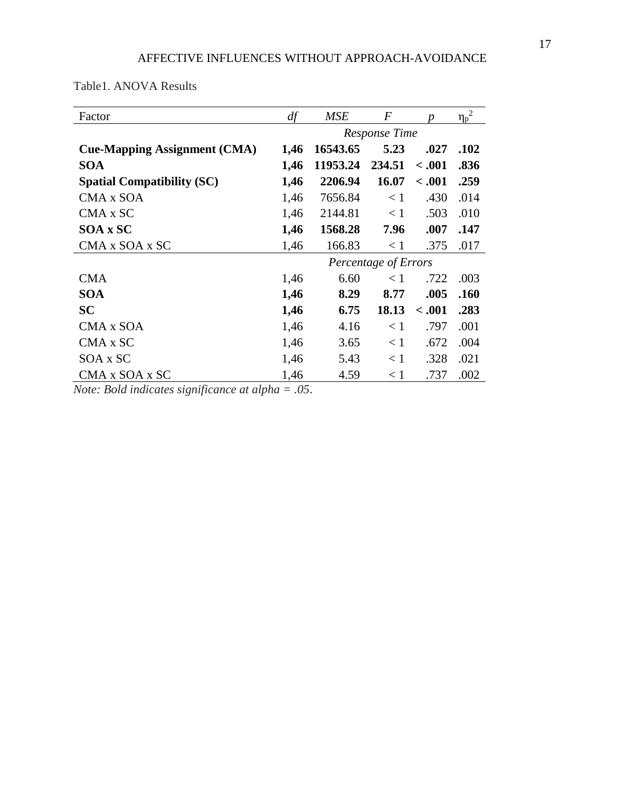Table1. ANOVA Results

| Factor                              | df                   | <b>MSE</b> | $\bm{F}$ | n       | $\overline{2}$<br>$\eta_p$ |
|-------------------------------------|----------------------|------------|----------|---------|----------------------------|
|                                     | Response Time        |            |          |         |                            |
| <b>Cue-Mapping Assignment (CMA)</b> | 1,46                 | 16543.65   | 5.23     | .027    | .102                       |
| <b>SOA</b>                          | 1,46                 | 11953.24   | 234.51   | < .001  | .836                       |
| <b>Spatial Compatibility (SC)</b>   | 1,46                 | 2206.94    | 16.07    | < .001  | .259                       |
| CMA x SOA                           | 1,46                 | 7656.84    | $\leq 1$ | .430    | .014                       |
| CMA x SC                            | 1,46                 | 2144.81    | $\leq 1$ | .503    | .010                       |
| SOA x SC                            | 1,46                 | 1568.28    | 7.96     | .007    | .147                       |
| CMA x SOA x SC                      | 1,46                 | 166.83     | < 1      | .375    | .017                       |
|                                     | Percentage of Errors |            |          |         |                            |
| <b>CMA</b>                          | 1,46                 | 6.60       | < 1      | .722    | .003                       |
| <b>SOA</b>                          | 1,46                 | 8.29       | 8.77     | .005    | .160                       |
| <b>SC</b>                           | 1,46                 | 6.75       | 18.13    | < 0.001 | .283                       |
| CMA x SOA                           | 1,46                 | 4.16       | < 1      | .797    | .001                       |
| CMA x SC                            | 1,46                 | 3.65       | $\leq 1$ | .672    | .004                       |
| SOA x SC                            | 1,46                 | 5.43       | $\leq 1$ | .328    | .021                       |
| CMA x SOA x SC                      | 1,46                 | 4.59       | < 1      | .737    | .002                       |

*Note: Bold indicates significance at alpha = .05*.